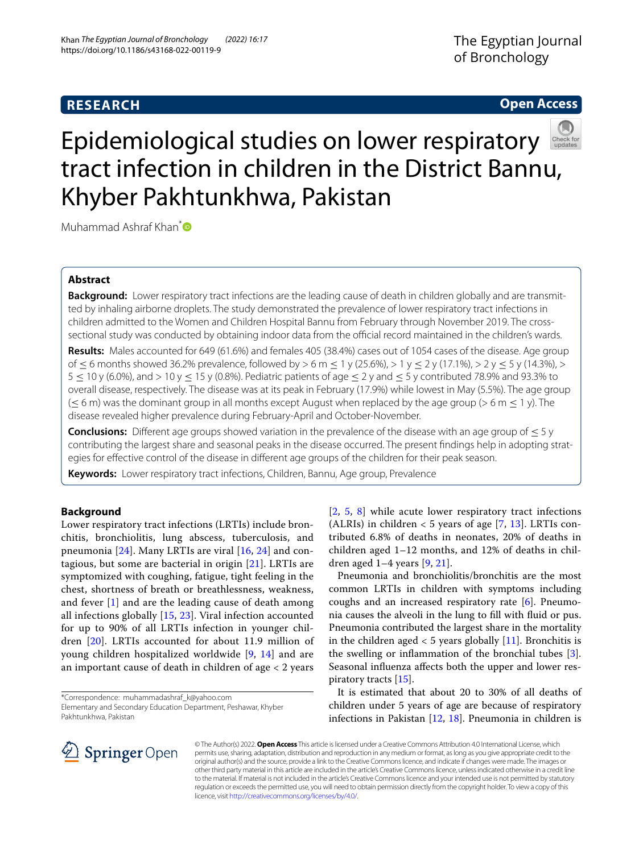# **RESEARCH**

# **Open Access**



# Epidemiological studies on lower respiratory tract infection in children in the District Bannu, Khyber Pakhtunkhwa, Pakistan

Muhammad Ashraf Khan<sup>[\\*](http://orcid.org/0000-0002-7514-5015)</sup>

# **Abstract**

**Background:** Lower respiratory tract infections are the leading cause of death in children globally and are transmitted by inhaling airborne droplets. The study demonstrated the prevalence of lower respiratory tract infections in children admitted to the Women and Children Hospital Bannu from February through November 2019. The crosssectional study was conducted by obtaining indoor data from the official record maintained in the children's wards.

**Results:** Males accounted for 649 (61.6%) and females 405 (38.4%) cases out of 1054 cases of the disease. Age group of ≤ 6 months showed 36.2% prevalence, followed by > 6 m ≤ 1 y (25.6%), > 1 y ≤ 2 y (17.1%), > 2 y ≤ 5 y (14.3%), >  $5 < 10$  y (6.0%), and  $> 10$  y  $< 15$  y (0.8%). Pediatric patients of age  $< 2$  y and  $< 5$  y contributed 78.9% and 93.3% to overall disease, respectively. The disease was at its peak in February (17.9%) while lowest in May (5.5%). The age group  $(< 6$  m) was the dominant group in all months except August when replaced by the age group ( $> 6$  m  $< 1$  y). The disease revealed higher prevalence during February-April and October-November.

**Conclusions:** Diferent age groups showed variation in the prevalence of the disease with an age group of ≤ 5 y contributing the largest share and seasonal peaks in the disease occurred. The present fndings help in adopting strategies for efective control of the disease in diferent age groups of the children for their peak season.

**Keywords:** Lower respiratory tract infections, Children, Bannu, Age group, Prevalence

# **Background**

Lower respiratory tract infections (LRTIs) include bronchitis, bronchiolitis, lung abscess, tuberculosis, and pneumonia  $[24]$  $[24]$ . Many LRTIs are viral  $[16, 24]$  $[16, 24]$  $[16, 24]$  and contagious, but some are bacterial in origin [[21](#page-4-2)]. LRTIs are symptomized with coughing, fatigue, tight feeling in the chest, shortness of breath or breathlessness, weakness, and fever [\[1](#page-4-3)] and are the leading cause of death among all infections globally [[15,](#page-4-4) [23\]](#page-4-5). Viral infection accounted for up to 90% of all LRTIs infection in younger children [[20\]](#page-4-6). LRTIs accounted for about 11.9 million of young children hospitalized worldwide [\[9](#page-4-7), [14](#page-4-8)] and are an important cause of death in children of age < 2 years

\*Correspondence: muhammadashraf\_k@yahoo.com

[[2](#page-4-9), [5](#page-4-10), [8\]](#page-4-11) while acute lower respiratory tract infections (ALRIs) in children  $<$  5 years of age [\[7](#page-4-12), [13\]](#page-4-13). LRTIs contributed 6.8% of deaths in neonates, 20% of deaths in children aged 1–12 months, and 12% of deaths in children aged 1–4 years [[9,](#page-4-7) [21\]](#page-4-2).

Pneumonia and bronchiolitis/bronchitis are the most common LRTIs in children with symptoms including coughs and an increased respiratory rate  $[6]$  $[6]$ . Pneumonia causes the alveoli in the lung to fll with fuid or pus. Pneumonia contributed the largest share in the mortality in the children aged  $<$  5 years globally [[11](#page-4-15)]. Bronchitis is the swelling or inflammation of the bronchial tubes  $[3]$  $[3]$ . Seasonal infuenza afects both the upper and lower respiratory tracts [[15](#page-4-4)].

It is estimated that about 20 to 30% of all deaths of children under 5 years of age are because of respiratory infections in Pakistan [\[12](#page-4-17), [18](#page-4-18)]. Pneumonia in children is



© The Author(s) 2022. **Open Access** This article is licensed under a Creative Commons Attribution 4.0 International License, which permits use, sharing, adaptation, distribution and reproduction in any medium or format, as long as you give appropriate credit to the original author(s) and the source, provide a link to the Creative Commons licence, and indicate if changes were made. The images or other third party material in this article are included in the article's Creative Commons licence, unless indicated otherwise in a credit line to the material. If material is not included in the article's Creative Commons licence and your intended use is not permitted by statutory regulation or exceeds the permitted use, you will need to obtain permission directly from the copyright holder. To view a copy of this licence, visit [http://creativecommons.org/licenses/by/4.0/.](http://creativecommons.org/licenses/by/4.0/)

Elementary and Secondary Education Department, Peshawar, Khyber Pakhtunkhwa, Pakistan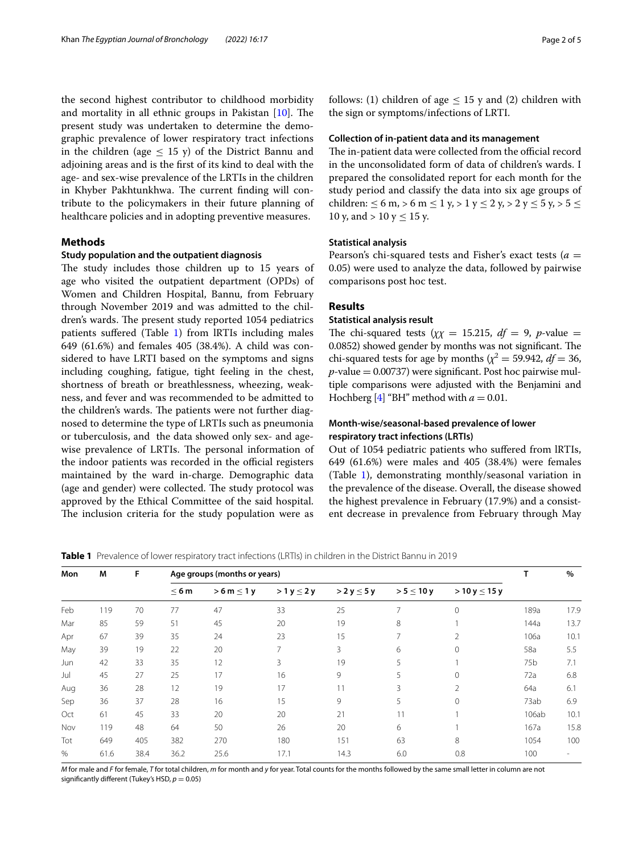the second highest contributor to childhood morbidity and mortality in all ethnic groups in Pakistan  $[10]$  $[10]$ . The present study was undertaken to determine the demographic prevalence of lower respiratory tract infections in the children (age  $\leq$  15 y) of the District Bannu and adjoining areas and is the frst of its kind to deal with the age- and sex-wise prevalence of the LRTIs in the children in Khyber Pakhtunkhwa. The current finding will contribute to the policymakers in their future planning of healthcare policies and in adopting preventive measures.

# **Methods**

#### **Study population and the outpatient diagnosis**

The study includes those children up to 15 years of age who visited the outpatient department (OPDs) of Women and Children Hospital, Bannu, from February through November 2019 and was admitted to the children's wards. The present study reported 1054 pediatrics patients sufered (Table [1\)](#page-1-0) from lRTIs including males 649 (61.6%) and females 405 (38.4%). A child was considered to have LRTI based on the symptoms and signs including coughing, fatigue, tight feeling in the chest, shortness of breath or breathlessness, wheezing, weakness, and fever and was recommended to be admitted to the children's wards. The patients were not further diagnosed to determine the type of LRTIs such as pneumonia or tuberculosis, and the data showed only sex- and agewise prevalence of LRTIs. The personal information of the indoor patients was recorded in the official registers maintained by the ward in-charge. Demographic data (age and gender) were collected. The study protocol was approved by the Ethical Committee of the said hospital. The inclusion criteria for the study population were as follows: (1) children of age  $\leq$  15 y and (2) children with the sign or symptoms/infections of LRTI.

#### **Collection of in‑patient data and its management**

The in-patient data were collected from the official record in the unconsolidated form of data of children's wards. I prepared the consolidated report for each month for the study period and classify the data into six age groups of children:  $\leq 6$  m,  $> 6$  m  $\leq 1$  y,  $> 1$  y  $\leq 2$  y,  $> 2$  y  $\leq 5$  y,  $> 5 \leq$ 10 y, and > 10 y  $\leq$  15 y.

## **Statistical analysis**

Pearson's chi-squared tests and Fisher's exact tests (*a* = 0.05) were used to analyze the data, followed by pairwise comparisons post hoc test.

# **Results**

## **Statistical analysis result**

The chi-squared tests  $(\chi \chi = 15.215, df = 9, p$ -value = 0.0852) showed gender by months was not significant. The chi-squared tests for age by months ( $\chi^2$  = 59.942, *df* = 36,  $p$ -value = 0.00737) were significant. Post hoc pairwise multiple comparisons were adjusted with the Benjamini and Hochberg  $[4]$  $[4]$  "BH" method with  $a = 0.01$ .

# **Month‑wise/seasonal‑based prevalence of lower respiratory tract infections (LRTIs)**

Out of 1054 pediatric patients who sufered from lRTIs, 649 (61.6%) were males and 405 (38.4%) were females (Table [1](#page-1-0)), demonstrating monthly/seasonal variation in the prevalence of the disease. Overall, the disease showed the highest prevalence in February (17.9%) and a consistent decrease in prevalence from February through May

<span id="page-1-0"></span>**Table 1** Prevalence of lower respiratory tract infections (LRTIs) in children in the District Bannu in 2019

| Mon | M    | F    | Age groups (months or years) |                  |                 |                  |                 |                     |       | %    |
|-----|------|------|------------------------------|------------------|-----------------|------------------|-----------------|---------------------|-------|------|
|     |      |      | $\leq 6m$                    | $> 6 m \leq 1 y$ | $>1 y \leq 2 y$ | $> 2 y \leq 5 y$ | $> 5 \leq 10 y$ | $>10$ y $\leq 15$ y |       |      |
| Feb | 119  | 70   | 77                           | 47               | 33              | 25               | $\overline{7}$  |                     | 189a  | 17.9 |
| Mar | 85   | 59   | 51                           | 45               | 20              | 19               | 8               |                     | 144a  | 13.7 |
| Apr | 67   | 39   | 35                           | 24               | 23              | 15               |                 | 2                   | 106a  | 10.1 |
| May | 39   | 19   | 22                           | 20               |                 | 3                | 6               |                     | 58a   | 5.5  |
| Jun | 42   | 33   | 35                           | 12               | 3               | 19               | 5               |                     | 75b   | 7.1  |
| Jul | 45   | 27   | 25                           | 17               | 16              | 9                | 5               |                     | 72a   | 6.8  |
| Aug | 36   | 28   | 12                           | 19               | 17              | 11               | 3               |                     | 64a   | 6.1  |
| Sep | 36   | 37   | 28                           | 16               | 15              | 9                | 5               |                     | 73ab  | 6.9  |
| Oct | 61   | 45   | 33                           | 20               | 20              | 21               | 11              |                     | 106ab | 10.1 |
| Nov | 119  | 48   | 64                           | 50               | 26              | 20               | 6               |                     | 167a  | 15.8 |
| Tot | 649  | 405  | 382                          | 270              | 180             | 151              | 63              | 8                   | 1054  | 100  |
| %   | 61.6 | 38.4 | 36.2                         | 25.6             | 17.1            | 14.3             | 6.0             | 0.8                 | 100   |      |

*M* for male and *F* for female, *T* for total children, *m* for month and *y* for year. Total counts for the months followed by the same small letter in column are not significantly different (Tukey's HSD,  $p = 0.05$ )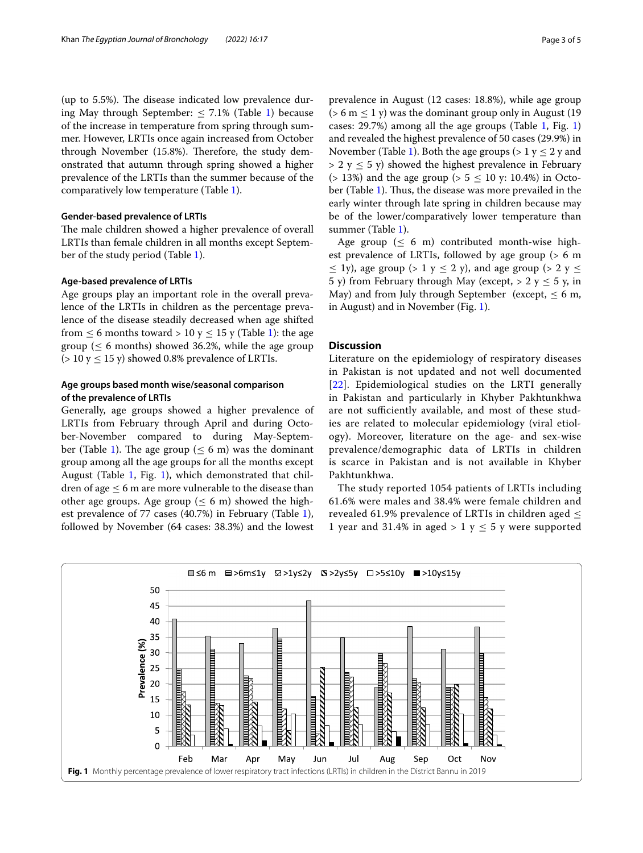(up to  $5.5\%$ ). The disease indicated low prevalence during May through September:  $\leq 7.1\%$  $\leq 7.1\%$  $\leq 7.1\%$  (Table 1) because of the increase in temperature from spring through summer. However, LRTIs once again increased from October through November (15.8%). Therefore, the study demonstrated that autumn through spring showed a higher prevalence of the LRTIs than the summer because of the comparatively low temperature (Table [1\)](#page-1-0).

# **Gender‑based prevalence of LRTIs**

The male children showed a higher prevalence of overall LRTIs than female children in all months except September of the study period (Table [1\)](#page-1-0).

## **Age‑based prevalence of LRTIs**

Age groups play an important role in the overall prevalence of the LRTIs in children as the percentage prevalence of the disease steadily decreased when age shifted from  $\leq$  6 months toward > [1](#page-1-0)0 y  $\leq$  15 y (Table 1): the age group ( $\leq 6$  months) showed 36.2%, while the age group ( $> 10$  y  $\leq 15$  y) showed 0.8% prevalence of LRTIs.

# **Age groups based month wise/seasonal comparison of the prevalence of LRTIs**

Generally, age groups showed a higher prevalence of LRTIs from February through April and during October-November compared to during May-Septem-ber (Table [1](#page-1-0)). The age group ( $\leq 6$  m) was the dominant group among all the age groups for all the months except August (Table [1](#page-1-0), Fig. [1\)](#page-2-0), which demonstrated that children of age  $\leq$  6 m are more vulnerable to the disease than other age groups. Age group ( $\leq 6$  m) showed the highest prevalence of 77 cases (40.7%) in February (Table [1](#page-1-0)), followed by November (64 cases: 38.3%) and the lowest prevalence in August (12 cases: 18.8%), while age group  $($  > 6 m  $\leq$  1 y) was the dominant group only in August (19) cases: 29.7%) among all the age groups (Table [1](#page-1-0), Fig. [1](#page-2-0)) and revealed the highest prevalence of 50 cases (29.9%) in November (Table [1](#page-1-0)). Both the age groups ( $> 1 y \le 2 y$  and  $> 2$  y  $\leq 5$  y) showed the highest prevalence in February ( $> 13\%$ ) and the age group ( $> 5 \le 10$  y: 10.4%) in Octo-ber (Table [1](#page-1-0)). Thus, the disease was more prevailed in the early winter through late spring in children because may be of the lower/comparatively lower temperature than summer (Table [1\)](#page-1-0).

Age group ( $\leq 6$  m) contributed month-wise highest prevalence of LRTIs, followed by age group (> 6 m  $\leq$  1y), age group (> 1 y  $\leq$  2 y), and age group (> 2 y  $\leq$ 5 y) from February through May (except,  $>$  2 y  $\leq$  5 y, in May) and from July through September (except,  $\leq 6$  m, in August) and in November (Fig. [1\)](#page-2-0).

# **Discussion**

Literature on the epidemiology of respiratory diseases in Pakistan is not updated and not well documented [[22](#page-4-21)]. Epidemiological studies on the LRTI generally in Pakistan and particularly in Khyber Pakhtunkhwa are not sufficiently available, and most of these studies are related to molecular epidemiology (viral etiology). Moreover, literature on the age- and sex-wise prevalence/demographic data of LRTIs in children is scarce in Pakistan and is not available in Khyber Pakhtunkhwa.

The study reported 1054 patients of LRTIs including 61.6% were males and 38.4% were female children and revealed 61.9% prevalence of LRTIs in children aged ≤ 1 year and 31.4% in aged > 1 y  $\leq$  5 y were supported

<span id="page-2-0"></span>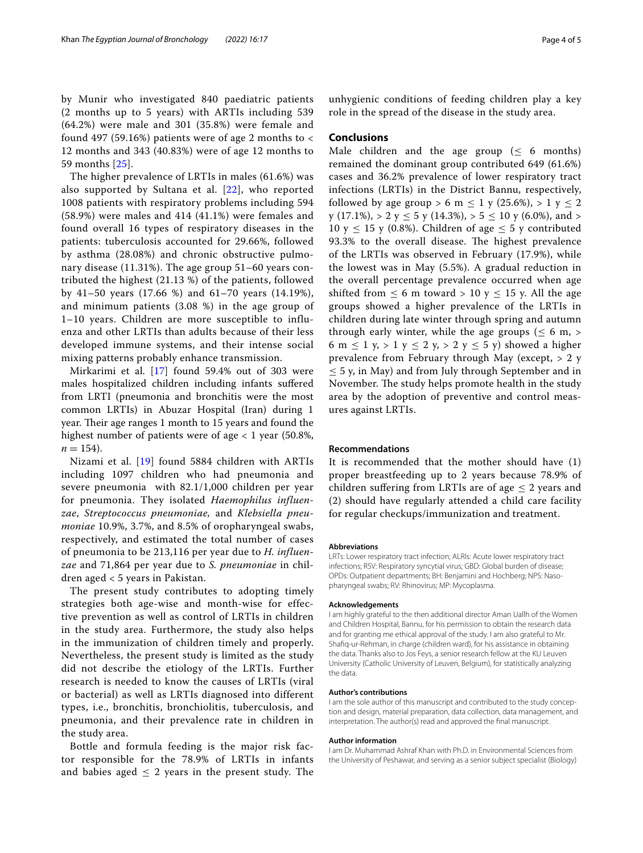by Munir who investigated 840 paediatric patients (2 months up to 5 years) with ARTIs including 539 (64.2%) were male and 301 (35.8%) were female and found 497 (59.16%) patients were of age 2 months to  $\lt$ 12 months and 343 (40.83%) were of age 12 months to 59 months [[25\]](#page-4-22).

The higher prevalence of LRTIs in males (61.6%) was also supported by Sultana et al. [[22\]](#page-4-21), who reported 1008 patients with respiratory problems including 594 (58.9%) were males and 414 (41.1%) were females and found overall 16 types of respiratory diseases in the patients: tuberculosis accounted for 29.66%, followed by asthma (28.08%) and chronic obstructive pulmonary disease (11.31%). The age group 51–60 years contributed the highest (21.13 %) of the patients, followed by 41–50 years (17.66 %) and 61–70 years (14.19%), and minimum patients (3.08 %) in the age group of 1–10 years. Children are more susceptible to influenza and other LRTIs than adults because of their less developed immune systems, and their intense social mixing patterns probably enhance transmission.

Mirkarimi et al. [[17\]](#page-4-23) found 59.4% out of 303 were males hospitalized children including infants sufered from LRTI (pneumonia and bronchitis were the most common LRTIs) in Abuzar Hospital (Iran) during 1 year. Their age ranges 1 month to 15 years and found the highest number of patients were of age  $<$  1 year (50.8%,  $n = 154$ .

Nizami et al. [\[19\]](#page-4-24) found 5884 children with ARTIs including 1097 children who had pneumonia and severe pneumonia with 82.1/1,000 children per year for pneumonia. They isolated *Haemophilus influenzae*, *Streptococcus pneumoniae,* and *Klebsiella pneumoniae* 10.9%, 3.7%, and 8.5% of oropharyngeal swabs, respectively, and estimated the total number of cases of pneumonia to be 213,116 per year due to *H. influenzae* and 71,864 per year due to *S. pneumoniae* in children aged < 5 years in Pakistan.

The present study contributes to adopting timely strategies both age-wise and month-wise for effective prevention as well as control of LRTIs in children in the study area. Furthermore, the study also helps in the immunization of children timely and properly. Nevertheless, the present study is limited as the study did not describe the etiology of the LRTIs. Further research is needed to know the causes of LRTIs (viral or bacterial) as well as LRTIs diagnosed into different types, i.e., bronchitis, bronchiolitis, tuberculosis, and pneumonia, and their prevalence rate in children in the study area.

Bottle and formula feeding is the major risk factor responsible for the 78.9% of LRTIs in infants and babies aged  $\leq$  2 years in the present study. The

unhygienic conditions of feeding children play a key role in the spread of the disease in the study area.

## **Conclusions**

Male children and the age group ( $\leq 6$  months) remained the dominant group contributed 649 (61.6%) cases and 36.2% prevalence of lower respiratory tract infections (LRTIs) in the District Bannu, respectively, followed by age group > 6 m  $\leq 1$  y (25.6%), > 1 y  $\leq 2$ y (17.1%), > 2 y  $\leq$  5 y (14.3%), > 5  $\leq$  10 y (6.0%), and > 10 y  $\leq$  15 y (0.8%). Children of age  $\leq$  5 y contributed 93.3% to the overall disease. The highest prevalence of the LRTIs was observed in February (17.9%), while the lowest was in May (5.5%). A gradual reduction in the overall percentage prevalence occurred when age shifted from  $\leq 6$  m toward > 10 y  $\leq 15$  y. All the age groups showed a higher prevalence of the LRTIs in children during late winter through spring and autumn through early winter, while the age groups ( $\leq 6$  m,  $>$ 6 m  $\leq$  1 y, > 1 y  $\leq$  2 y, > 2 y  $\leq$  5 y) showed a higher prevalence from February through May (except, > 2 y  $\leq$  5 y, in May) and from July through September and in November. The study helps promote health in the study area by the adoption of preventive and control measures against LRTIs.

#### **Recommendations**

It is recommended that the mother should have (1) proper breastfeeding up to 2 years because 78.9% of children suffering from LRTIs are of age  $\leq 2$  years and (2) should have regularly attended a child care facility for regular checkups/immunization and treatment.

#### **Abbreviations**

LRTs: Lower respiratory tract infection; ALRIs: Acute lower respiratory tract infections; RSV: Respiratory syncytial virus; GBD: Global burden of disease; OPDs: Outpatient departments; BH: Benjamini and Hochberg; NPS: Nasopharyngeal swabs; RV: Rhinovirus; MP: Mycoplasma.

#### **Acknowledgements**

I am highly grateful to the then additional director Aman Uallh of the Women and Children Hospital, Bannu, for his permission to obtain the research data and for granting me ethical approval of the study. I am also grateful to Mr. Shafq-ur-Rehman, in charge (children ward), for his assistance in obtaining the data. Thanks also to Jos Feys, a senior research fellow at the KU Leuven University (Catholic University of Leuven, Belgium), for statistically analyzing the data.

#### **Author's contributions**

I am the sole author of this manuscript and contributed to the study conception and design, material preparation, data collection, data management, and interpretation. The author(s) read and approved the fnal manuscript.

#### **Author information**

I am Dr. Muhammad Ashraf Khan with Ph.D. in Environmental Sciences from the University of Peshawar, and serving as a senior subject specialist (Biology)